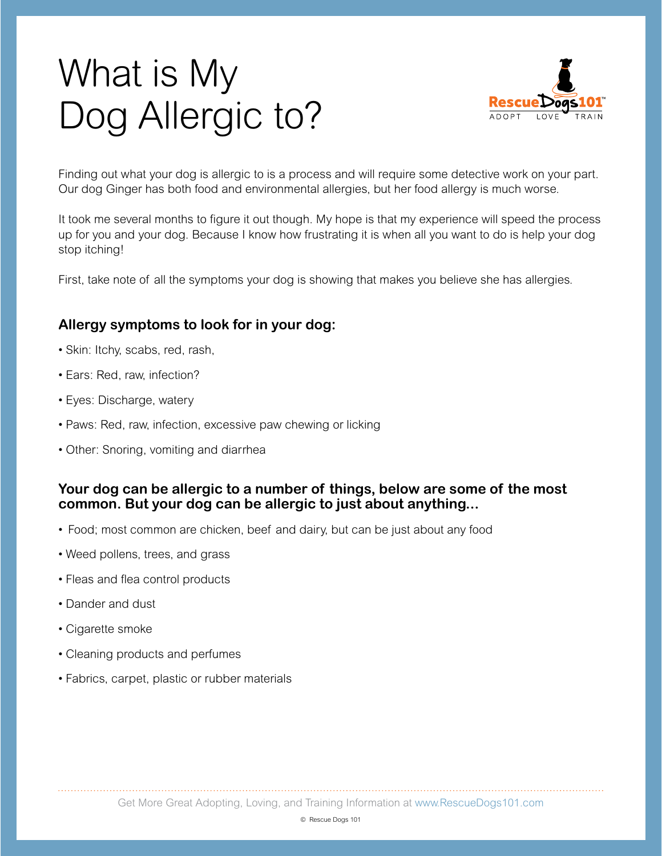# What is My Dog Allergic to?



Finding out what your dog is allergic to is a process and will require some detective work on your part. Our dog Ginger has both food and environmental allergies, but her food allergy is much worse.

It took me several months to figure it out though. My hope is that my experience will speed the process up for you and your dog. Because I know how frustrating it is when all you want to do is help your dog stop itching!

First, take note of all the symptoms your dog is showing that makes you believe she has allergies.

### **Allergy symptoms to look for in your dog:**

- Skin: Itchy, scabs, red, rash,
- Ears: Red, raw, infection?
- Eyes: Discharge, watery
- Paws: Red, raw, infection, excessive paw chewing or licking
- Other: Snoring, vomiting and diarrhea

#### **Your dog can be allergic to a number of things, below are some of the most common. But your dog can be allergic to just about anything...**

- Food; most common are chicken, beef and dairy, but can be just about any food
- Weed pollens, trees, and grass
- Fleas and flea control products
- Dander and dust
- Cigarette smoke
- Cleaning products and perfumes
- Fabrics, carpet, plastic or rubber materials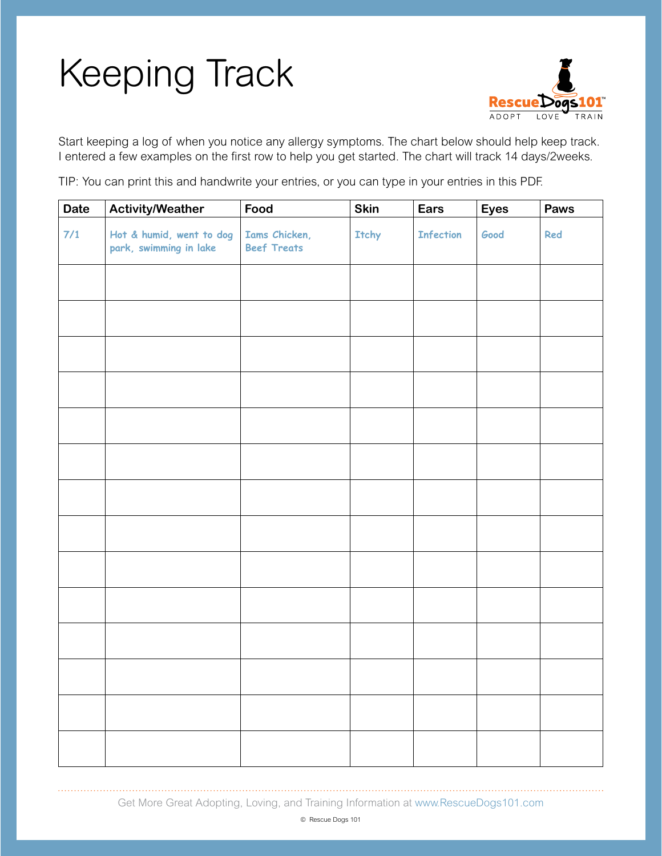# Keeping Track



Start keeping a log of when you notice any allergy symptoms. The chart below should help keep track. I entered a few examples on the first row to help you get started. The chart will track 14 days/2weeks.

TIP: You can print this and handwrite your entries, or you can type in your entries in this PDF.

| <b>Date</b> | <b>Activity/Weather</b>                            | Food                                | Skin  | Ears             | <b>Eyes</b> | Paws |
|-------------|----------------------------------------------------|-------------------------------------|-------|------------------|-------------|------|
| $7/1$       | Hot & humid, went to dog<br>park, swimming in lake | Iams Chicken,<br><b>Beef Treats</b> | Itchy | <b>Infection</b> | Good        | Red  |
|             |                                                    |                                     |       |                  |             |      |
|             |                                                    |                                     |       |                  |             |      |
|             |                                                    |                                     |       |                  |             |      |
|             |                                                    |                                     |       |                  |             |      |
|             |                                                    |                                     |       |                  |             |      |
|             |                                                    |                                     |       |                  |             |      |
|             |                                                    |                                     |       |                  |             |      |
|             |                                                    |                                     |       |                  |             |      |
|             |                                                    |                                     |       |                  |             |      |
|             |                                                    |                                     |       |                  |             |      |
|             |                                                    |                                     |       |                  |             |      |
|             |                                                    |                                     |       |                  |             |      |
|             |                                                    |                                     |       |                  |             |      |
|             |                                                    |                                     |       |                  |             |      |

Get More Great Adopting, Loving, and Training Information at www.RescueDogs101.com